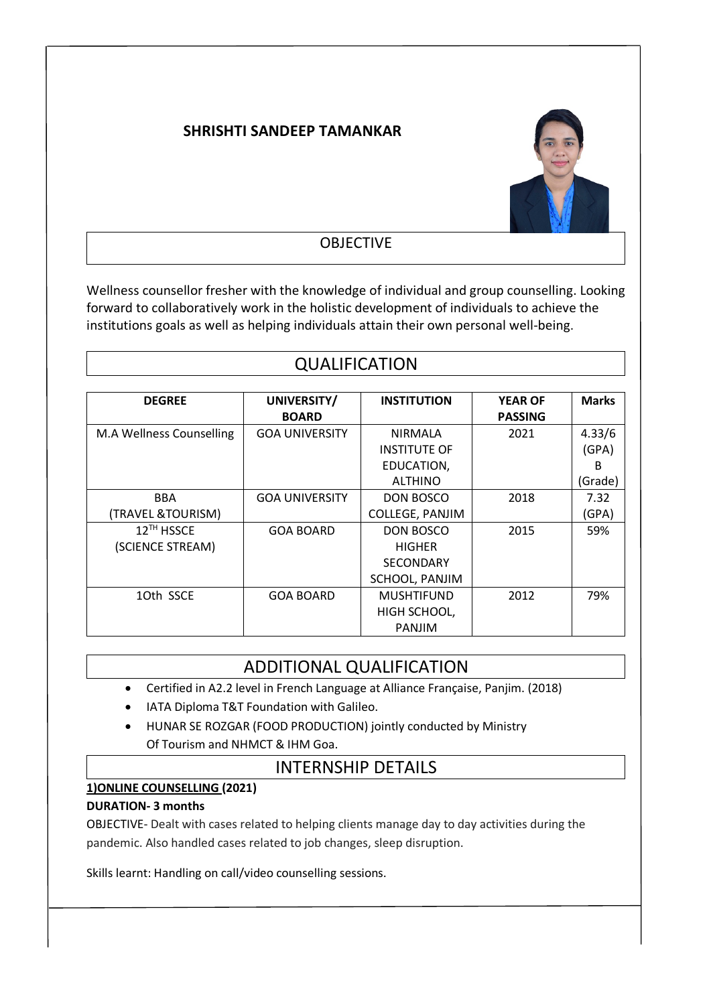### **SHRISHTI SANDEEP TAMANKAR**



#### OBJECTIVE

Wellness counsellor fresher with the knowledge of individual and group counselling. Looking forward to collaboratively work in the holistic development of individuals to achieve the institutions goals as well as helping individuals attain their own personal well-being.

## QUALIFICATION

| <b>DEGREE</b>            | UNIVERSITY/           | <b>INSTITUTION</b>     | <b>YEAR OF</b> | <b>Marks</b> |
|--------------------------|-----------------------|------------------------|----------------|--------------|
|                          | <b>BOARD</b>          |                        | <b>PASSING</b> |              |
| M.A Wellness Counselling | <b>GOA UNIVERSITY</b> | <b>NIRMALA</b>         | 2021           | 4.33/6       |
|                          |                       | <b>INSTITUTE OF</b>    |                | (GPA)        |
|                          |                       | EDUCATION,             |                | B            |
|                          |                       | <b>ALTHINO</b>         |                | (Grade)      |
| <b>BBA</b>               | <b>GOA UNIVERSITY</b> | DON BOSCO              | 2018           | 7.32         |
| (TRAVEL & TOURISM)       |                       | <b>COLLEGE, PANJIM</b> |                | (GPA)        |
| 12TH HSSCE               | <b>GOA BOARD</b>      | <b>DON BOSCO</b>       | 2015           | 59%          |
| (SCIENCE STREAM)         |                       | <b>HIGHER</b>          |                |              |
|                          |                       | <b>SECONDARY</b>       |                |              |
|                          |                       | SCHOOL, PANJIM         |                |              |
| 10th SSCE                | <b>GOA BOARD</b>      | <b>MUSHTIFUND</b>      | 2012           | 79%          |
|                          |                       | HIGH SCHOOL,           |                |              |
|                          |                       | <b>PANJIM</b>          |                |              |

## ADDITIONAL QUALIFICATION

- Certified in A2.2 level in French Language at Alliance Française, Panjim. (2018)
- IATA Diploma T&T Foundation with Galileo.
- HUNAR SE ROZGAR (FOOD PRODUCTION) jointly conducted by Ministry Of Tourism and NHMCT & IHM Goa.

### INTERNSHIP DETAILS

#### **1)ONLINE COUNSELLING (2021)**

#### **DURATION- 3 months**

OBJECTIVE- Dealt with cases related to helping clients manage day to day activities during the pandemic. Also handled cases related to job changes, sleep disruption.

Skills learnt: Handling on call/video counselling sessions.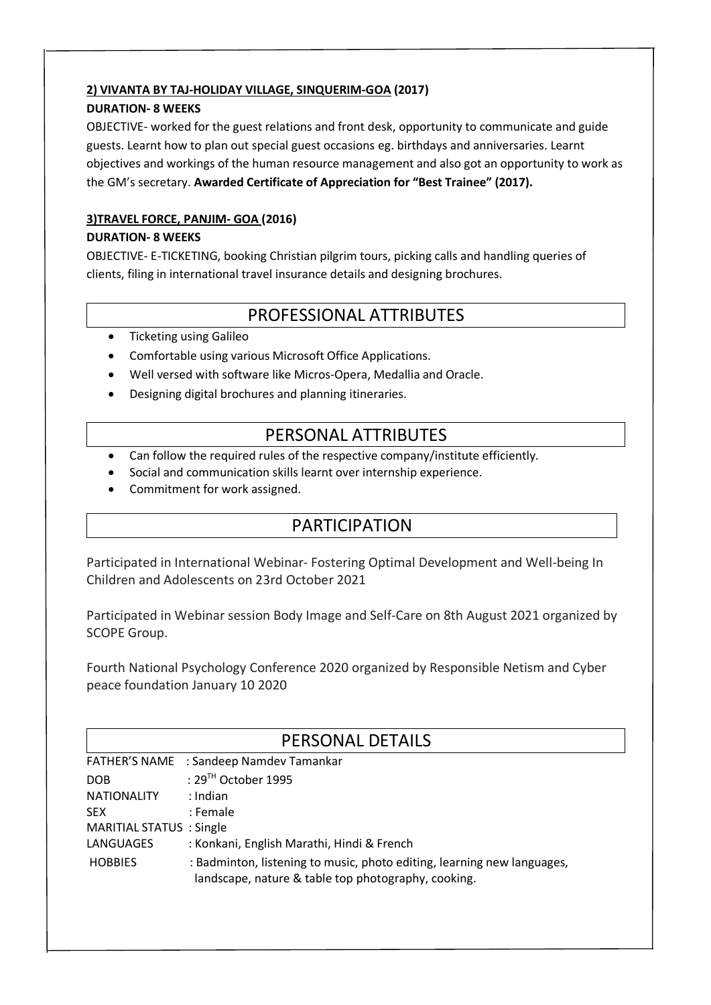### **2) VIVANTA BY TAJ-HOLIDAY VILLAGE, SINQUERIM-GOA (2017)**

#### **DURATION- 8 WEEKS**

OBJECTIVE- worked for the guest relations and front desk, opportunity to communicate and guide guests. Learnt how to plan out special guest occasions eg. birthdays and anniversaries. Learnt objectives and workings of the human resource management and also got an opportunity to work as the GM's secretary. **Awarded Certificate of Appreciation for "Best Trainee" (2017).**

# **3)TRAVEL FORCE, PANJIM- GOA (2016)**

#### **DURATION- 8 WEEKS**

OBJECTIVE- E-TICKETING, booking Christian pilgrim tours, picking calls and handling queries of clients, filing in international travel insurance details and designing brochures.

# PROFESSIONAL ATTRIBUTES

- Ticketing using Galileo
- Comfortable using various Microsoft Office Applications.
- Well versed with software like Micros-Opera, Medallia and Oracle.
- Designing digital brochures and planning itineraries.

## PERSONAL ATTRIBUTES

- Can follow the required rules of the respective company/institute efficiently.
- Social and communication skills learnt over internship experience.
- Commitment for work assigned.

# PARTICIPATION

Participated in International Webinar- Fostering Optimal Development and Well-being In Children and Adolescents on 23rd October 2021

Participated in Webinar session Body Image and Self-Care on 8th August 2021 organized by SCOPE Group.

Fourth National Psychology Conference 2020 organized by Responsible Netism and Cyber peace foundation January 10 2020

| PERSONAL DETAILS                |                    |                                                                                                                                |
|---------------------------------|--------------------|--------------------------------------------------------------------------------------------------------------------------------|
|                                 |                    | FATHER'S NAME : Sandeep Namdev Tamankar                                                                                        |
| <b>DOB</b>                      |                    | : $29TH$ October 1995                                                                                                          |
|                                 | <b>NATIONALITY</b> | : Indian                                                                                                                       |
| <b>SEX</b>                      |                    | : Female                                                                                                                       |
| <b>MARITIAL STATUS : Single</b> |                    |                                                                                                                                |
|                                 | LANGUAGES          | : Konkani, English Marathi, Hindi & French                                                                                     |
|                                 | <b>HOBBIES</b>     | : Badminton, listening to music, photo editing, learning new languages,<br>landscape, nature & table top photography, cooking. |
|                                 |                    |                                                                                                                                |
|                                 |                    |                                                                                                                                |